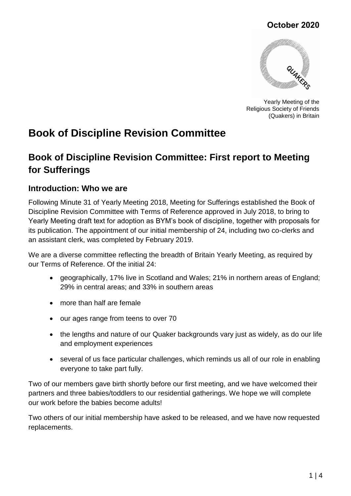### **October 2020**



Yearly Meeting of the Religious Society of Friends (Quakers) in Britain

# **Book of Discipline Revision Committee**

## **Book of Discipline Revision Committee: First report to Meeting for Sufferings**

#### **Introduction: Who we are**

Following Minute 31 of Yearly Meeting 2018, Meeting for Sufferings established the Book of Discipline Revision Committee with Terms of Reference approved in July 2018, to bring to Yearly Meeting draft text for adoption as BYM's book of discipline, together with proposals for its publication. The appointment of our initial membership of 24, including two co-clerks and an assistant clerk, was completed by February 2019.

We are a diverse committee reflecting the breadth of Britain Yearly Meeting, as required by our Terms of Reference. Of the initial 24:

- geographically, 17% live in Scotland and Wales; 21% in northern areas of England; 29% in central areas; and 33% in southern areas
- more than half are female
- our ages range from teens to over 70
- the lengths and nature of our Quaker backgrounds vary just as widely, as do our life and employment experiences
- several of us face particular challenges, which reminds us all of our role in enabling everyone to take part fully.

Two of our members gave birth shortly before our first meeting, and we have welcomed their partners and three babies/toddlers to our residential gatherings. We hope we will complete our work before the babies become adults!

Two others of our initial membership have asked to be released, and we have now requested replacements.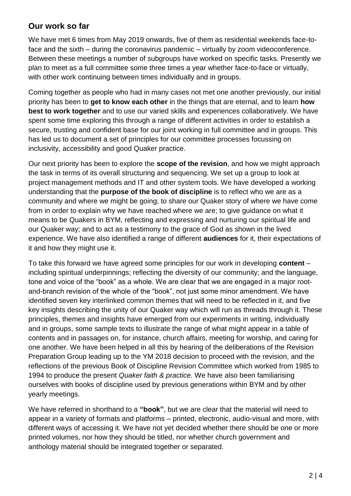#### **Our work so far**

We have met 6 times from May 2019 onwards, five of them as residential weekends face-toface and the sixth – during the coronavirus pandemic – virtually by zoom videoconference. Between these meetings a number of subgroups have worked on specific tasks. Presently we plan to meet as a full committee some three times a year whether face-to-face or virtually, with other work continuing between times individually and in groups.

Coming together as people who had in many cases not met one another previously, our initial priority has been to **get to know each other** in the things that are eternal, and to learn **how best to work together** and to use our varied skills and experiences collaboratively. We have spent some time exploring this through a range of different activities in order to establish a secure, trusting and confident base for our joint working in full committee and in groups. This has led us to document a set of principles for our committee processes focussing on inclusivity, accessibility and good Quaker practice.

Our next priority has been to explore the **scope of the revision**, and how we might approach the task in terms of its overall structuring and sequencing. We set up a group to look at project management methods and IT and other system tools. We have developed a working understanding that the **purpose of the book of discipline** is to reflect who we are as a community and where we might be going; to share our Quaker story of where we have come from in order to explain why we have reached where we are; to give guidance on what it means to be Quakers in BYM, reflecting and expressing and nurturing our spiritual life and our Quaker way; and to act as a testimony to the grace of God as shown in the lived experience. We have also identified a range of different **audiences** for it, their expectations of it and how they might use it.

To take this forward we have agreed some principles for our work in developing **content** – including spiritual underpinnings; reflecting the diversity of our community; and the language, tone and voice of the "book" as a whole. We are clear that we are engaged in a major rootand-branch revision of the whole of the "book", not just some minor amendment. We have identified seven key interlinked common themes that will need to be reflected in it, and five key insights describing the unity of our Quaker way which will run as threads through it. These principles, themes and insights have emerged from our experiments in writing, individually and in groups, some sample texts to illustrate the range of what might appear in a table of contents and in passages on, for instance, church affairs, meeting for worship, and caring for one another. We have been helped in all this by hearing of the deliberations of the Revision Preparation Group leading up to the YM 2018 decision to proceed with the revision, and the reflections of the previous Book of Discipline Revision Committee which worked from 1985 to 1994 to produce the present *Quaker faith & practice.* We have also been familiarising ourselves with books of discipline used by previous generations within BYM and by other yearly meetings.

We have referred in shorthand to a **"book"**, but we are clear that the material will need to appear in a variety of formats and platforms – printed, electronic, audio-visual and more, with different ways of accessing it. We have not yet decided whether there should be one or more printed volumes, nor how they should be titled, nor whether church government and anthology material should be integrated together or separated.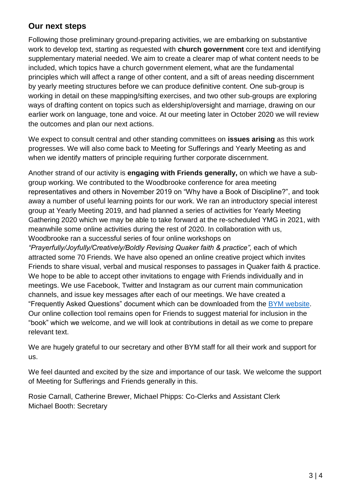#### **Our next steps**

Following those preliminary ground-preparing activities, we are embarking on substantive work to develop text, starting as requested with **church government** core text and identifying supplementary material needed. We aim to create a clearer map of what content needs to be included, which topics have a church government element, what are the fundamental principles which will affect a range of other content, and a sift of areas needing discernment by yearly meeting structures before we can produce definitive content. One sub-group is working in detail on these mapping/sifting exercises, and two other sub-groups are exploring ways of drafting content on topics such as eldership/oversight and marriage, drawing on our earlier work on language, tone and voice. At our meeting later in October 2020 we will review the outcomes and plan our next actions.

We expect to consult central and other standing committees on **issues arising** as this work progresses. We will also come back to Meeting for Sufferings and Yearly Meeting as and when we identify matters of principle requiring further corporate discernment.

Another strand of our activity is **engaging with Friends generally,** on which we have a subgroup working. We contributed to the Woodbrooke conference for area meeting representatives and others in November 2019 on "Why have a Book of Discipline?", and took away a number of useful learning points for our work. We ran an introductory special interest group at Yearly Meeting 2019, and had planned a series of activities for Yearly Meeting Gathering 2020 which we may be able to take forward at the re-scheduled YMG in 2021, with meanwhile some online activities during the rest of 2020. In collaboration with us, Woodbrooke ran a successful series of four online workshops on

*"Prayerfully/Joyfully/Creatively/Boldly Revising Quaker faith & practice",* each of which attracted some 70 Friends. We have also opened an online creative project which invites Friends to share visual, verbal and musical responses to passages in Quaker faith & practice. We hope to be able to accept other invitations to engage with Friends individually and in meetings. We use Facebook, Twitter and Instagram as our current main communication channels, and issue key messages after each of our meetings. We have created a "Frequently Asked Questions" document which can be downloaded from the [BYM website.](https://www.quaker.org.uk/resources/quaker-faith-and-practice/revising-quaker-faith-practice) Our online collection tool remains open for Friends to suggest material for inclusion in the "book" which we welcome, and we will look at contributions in detail as we come to prepare relevant text.

We are hugely grateful to our secretary and other BYM staff for all their work and support for us.

We feel daunted and excited by the size and importance of our task. We welcome the support of Meeting for Sufferings and Friends generally in this.

Rosie Carnall, Catherine Brewer, Michael Phipps: Co-Clerks and Assistant Clerk Michael Booth: Secretary